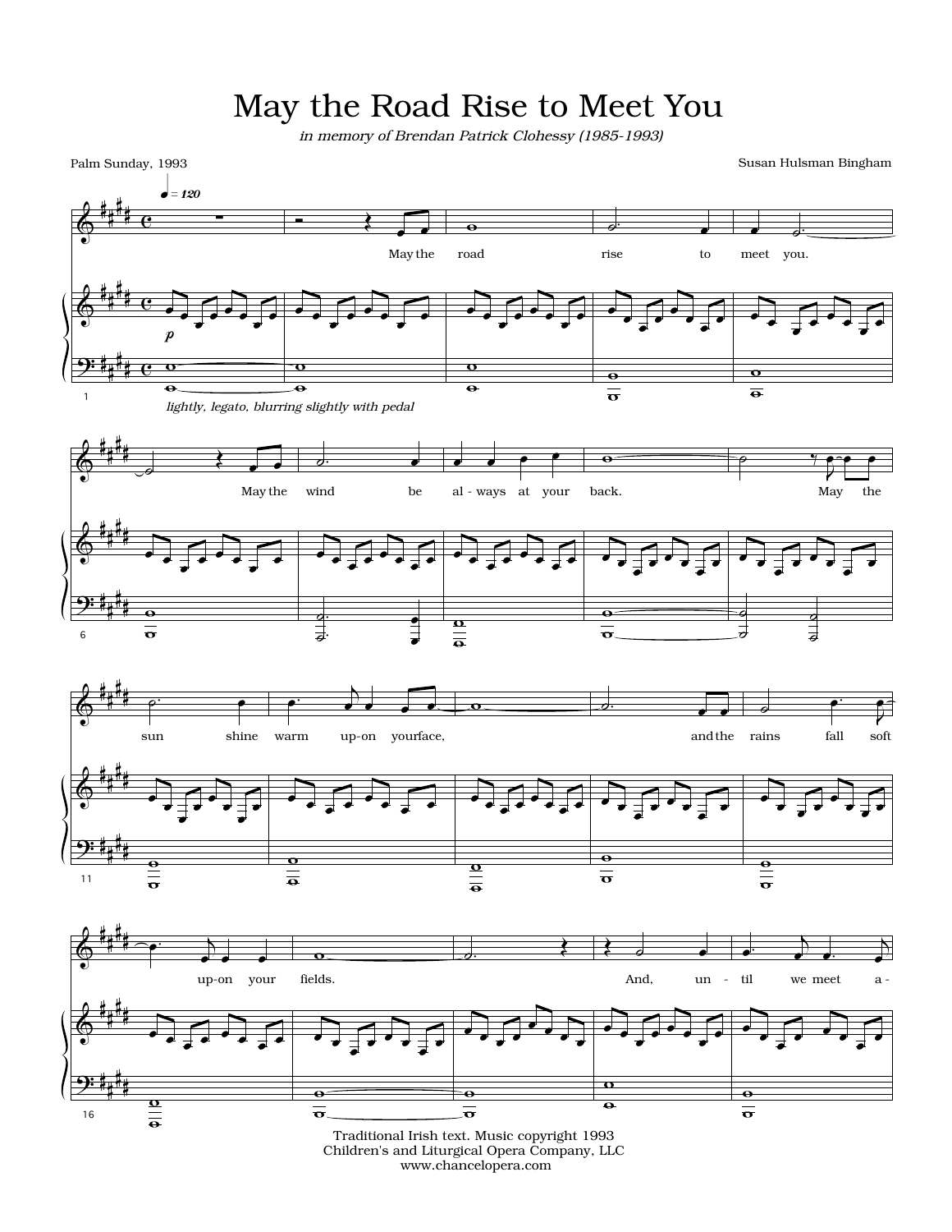## May the Road Rise to Meet You

 *in memory of Brendan Patrick Clohessy (1985-1993)*

Palm Sunday, 1993

Susan Hulsman Bingham



www.chancelopera.com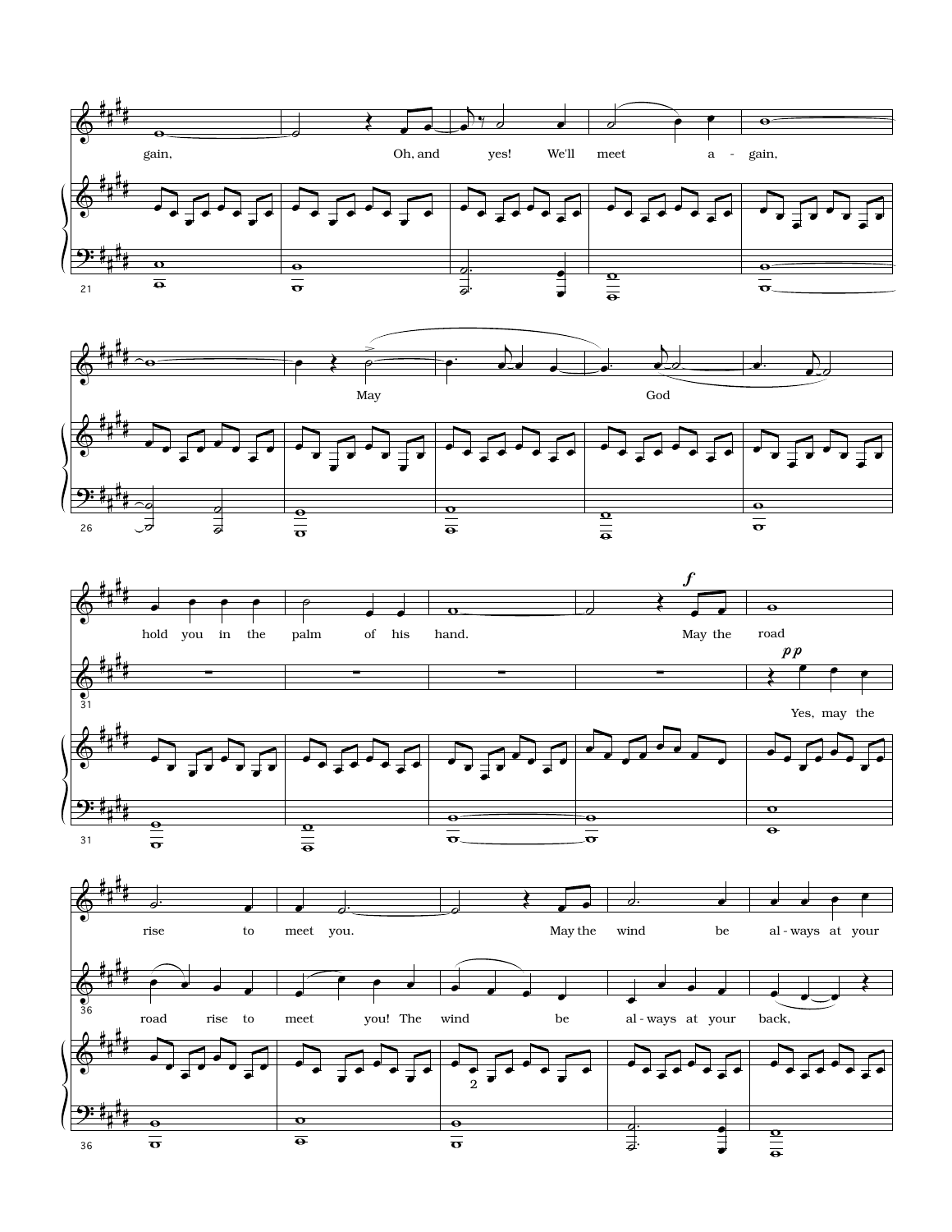





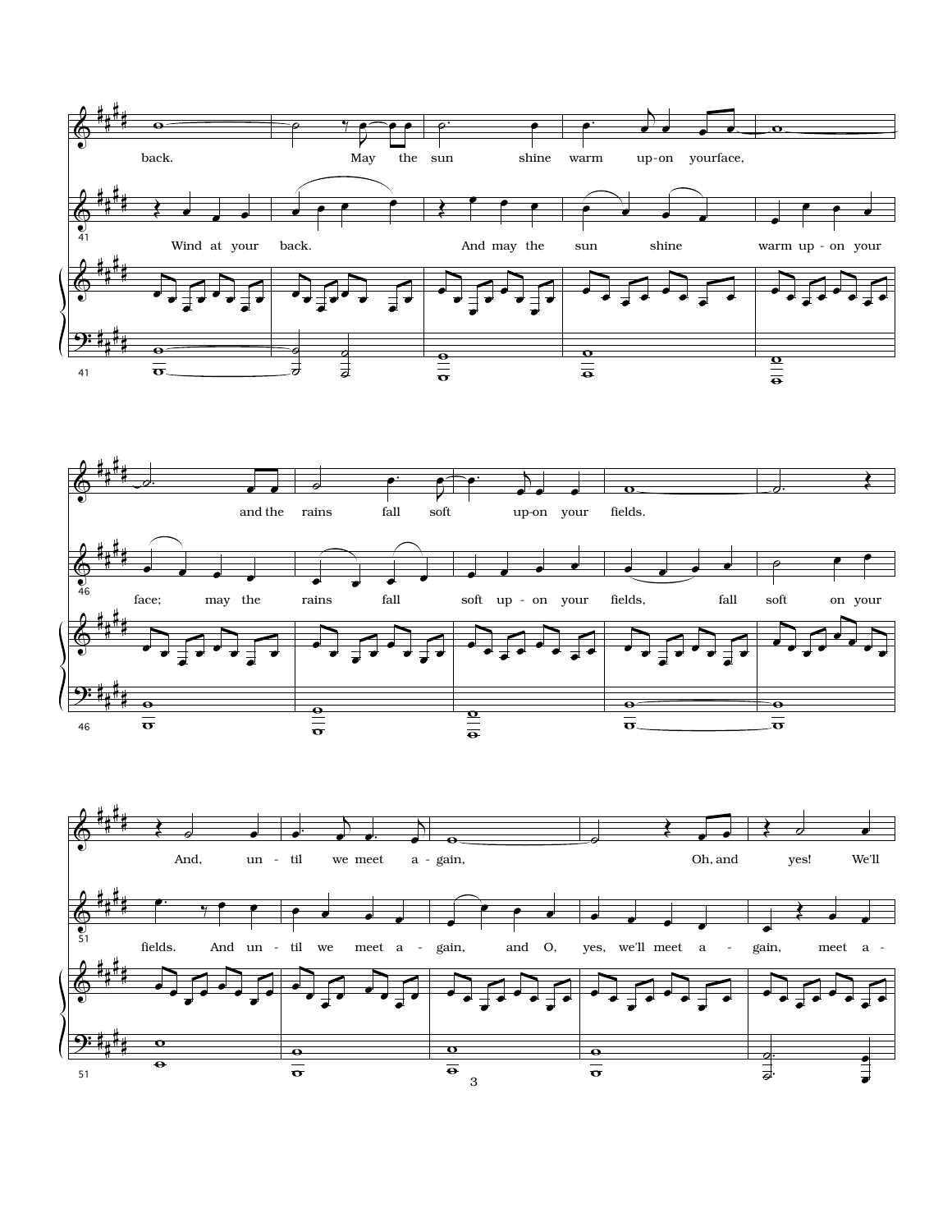